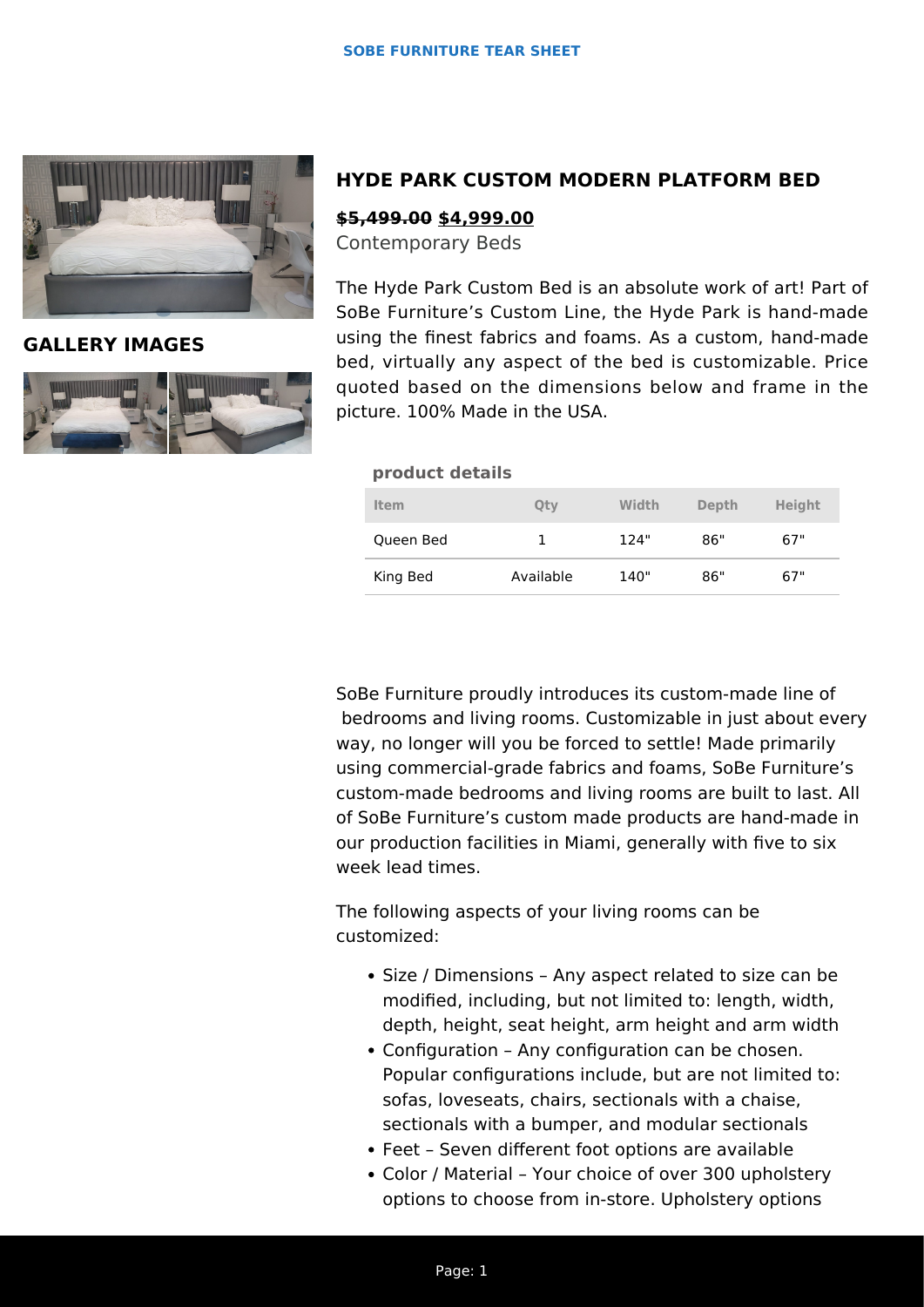

**GALLERY IMAGES**



# **HYDE PARK CUSTOM MODERN PLATFORM BED**

### **\$5,499.00 \$4,999.00**

Contemporary Beds

The Hyde Park Custom Bed is an absolute work of art! Part of SoBe Furniture's Custom Line, the Hyde Park is hand-made using the finest fabrics and foams. As a custom, hand-made bed, virtually any aspect of the bed is customizable. Price quoted based on the dimensions below and frame in the picture. 100% Made in the USA.

#### **product details**

| Item      | Qty       | Width | Depth | <b>Height</b> |
|-----------|-----------|-------|-------|---------------|
| Queen Bed |           | 124"  | 86"   | 67"           |
| King Bed  | Available | 140"  | 86"   | 67"           |

SoBe Furniture proudly introduces its custom-made line of bedrooms and living rooms. Customizable in just about every way, no longer will you be forced to settle! Made primarily using commercial-grade fabrics and foams, SoBe Furniture's custom-made bedrooms and living rooms are built to last. All of SoBe Furniture's custom made products are hand-made in our production facilities in Miami, generally with five to six week lead times.

The following aspects of your living rooms can be customized:

- Size / Dimensions Any aspect related to size can be modified, including, but not limited to: length, width, depth, height, seat height, arm height and arm width
- Configuration Any configuration can be chosen. Popular configurations include, but are not limited to: sofas, loveseats, chairs, sectionals with a chaise, sectionals with a bumper, and modular sectionals
- Feet Seven different foot options are available
- Color / Material Your choice of over 300 upholstery options to choose from in-store. Upholstery options